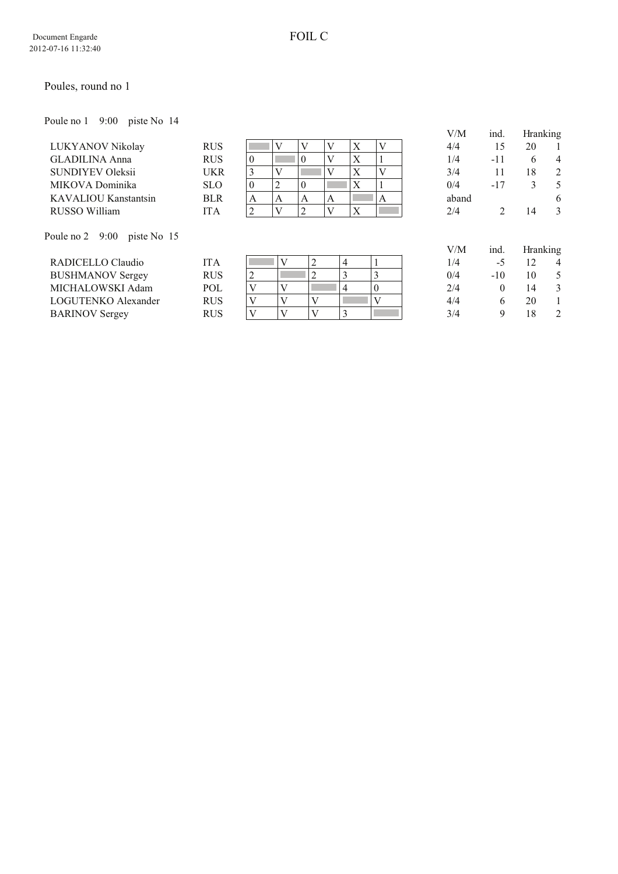## Poules, round no 1

Poule no 1 9:00 piste No 14

|                             |            |   |   |   |   |           | V/M   | ind.  | Hranking |                |
|-----------------------------|------------|---|---|---|---|-----------|-------|-------|----------|----------------|
| LUKYANOV Nikolay            | <b>RUS</b> |   |   |   |   | $\lambda$ | 4/4   |       | 20       |                |
| <b>GLADILINA Anna</b>       | <b>RUS</b> |   |   |   |   | $\Lambda$ | 1/4   | -11   |          | $\overline{4}$ |
| <b>SUNDIYEV Oleksii</b>     | UKR        |   |   |   |   | △         | 3/4   |       | 18       | 2              |
| MIKOVA Dominika             | <b>SLO</b> | O |   |   |   | $\Lambda$ | 0/4   | $-17$ |          |                |
| <b>KAVALIOU Kanstantsin</b> | <b>BLR</b> | А | А | A | A |           | aband |       |          | 6              |
| RUSSO William               | ITA        |   |   |   |   | $\Lambda$ | 2/4   |       | 14       | 3              |

Poule no 2 9:00 piste No 15

| RADICELLO Claudio       | [TA        |  |  |  | /4  | -0    |    | Δ                       |
|-------------------------|------------|--|--|--|-----|-------|----|-------------------------|
| <b>BUSHMANOV Sergey</b> | <b>RUS</b> |  |  |  | 0/4 | $-10$ |    |                         |
| MICHALOWSKI Adam        | POL        |  |  |  | 2/4 |       |    |                         |
| LOGUTENKO Alexander     | <b>RUS</b> |  |  |  | 4/4 |       | 20 |                         |
| <b>BARINOV</b> Sergey   | RUS        |  |  |  | 3/4 |       |    | $\mathcal{D}_{1}^{(1)}$ |

| 4/4   | 15             | 20              | 1 |
|-------|----------------|-----------------|---|
| 1/4   | $-11$          | 6               | 4 |
| 3/4   | 11             | 18              | 2 |
| 0/4   | -17            | 3               | 5 |
| aband |                |                 | 6 |
| 2/4   | $\overline{2}$ | 14              | 3 |
|       |                |                 |   |
| V/M   | ind.           | <b>Hranking</b> |   |

| V/M | ind.  |    | Hranking |  |  |  |
|-----|-------|----|----------|--|--|--|
| 1/4 | $-5$  | 12 | 4        |  |  |  |
| 0/4 | $-10$ | 10 | 5        |  |  |  |
| 2/4 | 0     | 14 | 3        |  |  |  |
| 4/4 | 6     | 20 | 1        |  |  |  |
| 3/4 | 9     | 18 | 2        |  |  |  |
|     |       |    |          |  |  |  |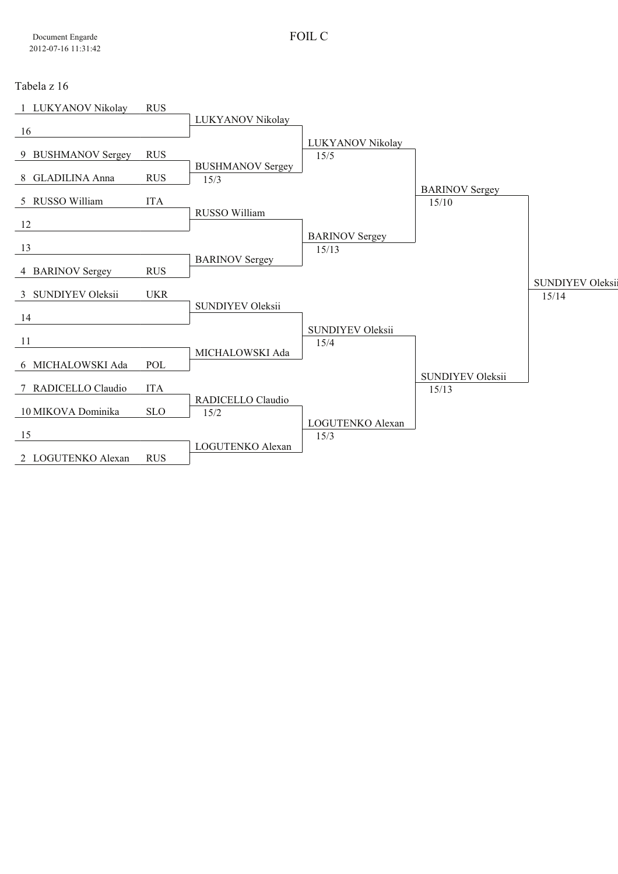## Tabela z 16

| 1 LUKYANOV Nikolay     | <b>RUS</b> |                         |                          |                                  |                         |
|------------------------|------------|-------------------------|--------------------------|----------------------------------|-------------------------|
|                        |            | LUKYANOV Nikolay        |                          |                                  |                         |
| -16                    |            |                         |                          |                                  |                         |
| 9 BUSHMANOV Sergey     | <b>RUS</b> |                         | LUKYANOV Nikolay<br>15/5 |                                  |                         |
|                        |            | <b>BUSHMANOV Sergey</b> |                          |                                  |                         |
| 8 GLADILINA Anna       | <b>RUS</b> | 15/3                    |                          |                                  |                         |
|                        |            |                         |                          | <b>BARINOV Sergey</b>            |                         |
| 5 RUSSO William        | <b>ITA</b> | RUSSO William           |                          | 15/10                            |                         |
| 12                     |            |                         |                          |                                  |                         |
|                        |            |                         | <b>BARINOV Sergey</b>    |                                  |                         |
| 13                     |            |                         | 15/13                    |                                  |                         |
| 4 BARINOV Sergey       | <b>RUS</b> | <b>BARINOV Sergey</b>   |                          |                                  |                         |
|                        |            |                         |                          |                                  | <b>SUNDIYEV Oleksii</b> |
| 3 SUNDIYEV Oleksii     | <b>UKR</b> |                         |                          |                                  | 15/14                   |
|                        |            | SUNDIYEV Oleksii        |                          |                                  |                         |
| 14                     |            |                         | <b>SUNDIYEV Oleksii</b>  |                                  |                         |
| 11                     |            |                         | 15/4                     |                                  |                         |
|                        |            | MICHALOWSKI Ada         |                          |                                  |                         |
| 6 MICHALOWSKI Ada      | POL        |                         |                          |                                  |                         |
| RADICELLO Claudio<br>7 | <b>ITA</b> |                         |                          | <b>SUNDIYEV Oleksii</b><br>15/13 |                         |
|                        |            | RADICELLO Claudio       |                          |                                  |                         |
| 10 MIKOVA Dominika     | <b>SLO</b> | 15/2                    |                          |                                  |                         |
|                        |            |                         | LOGUTENKO Alexan         |                                  |                         |
| 15                     |            | LOGUTENKO Alexan        | 15/3                     |                                  |                         |
| 2 LOGUTENKO Alexan     | <b>RUS</b> |                         |                          |                                  |                         |
|                        |            |                         |                          |                                  |                         |